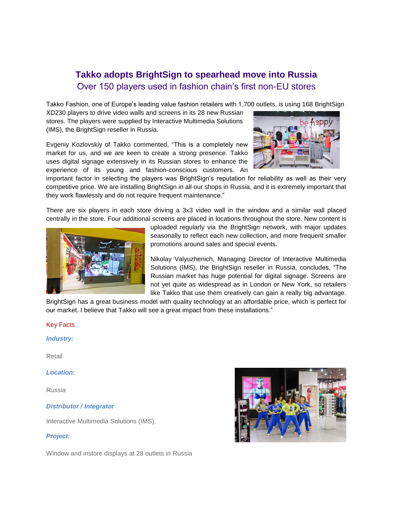# **Takko adopts BrightSign to spearhead move into Russia** Over 150 players used in fashion chain's first non-EU stores

Takko Fashion, one of Europe's leading value fashion retailers with 1,700 outlets, is using 168 BrightSign

XD230 players to drive video walls and screens in its 28 new Russian stores. The players were supplied by Interactive Multimedia Solutions (IMS), the BrightSign reseller in Russia.

Evgeniy Kozlovskiy of Takko commented, "This is a completely new market for us, and we are keen to create a strong presence. Takko uses digital signage extensively in its Russian stores to enhance the experience of its young and fashion-conscious customers. An



important factor in selecting the players was BrightSign's reputation for reliability as well as their very competitive price. We are installing BrightSign in all our shops in Russia, and it is extremely important that they work flawlessly and do not require frequent maintenance."

There are six players in each store driving a 3x3 video wall in the window and a similar wall placed centrally in the store. Four additional screens are placed in locations throughout the store. New content is



uploaded regularly via the BrightSign network, with major updates seasonally to reflect each new collection, and more frequent smaller promotions around sales and special events.

Nikolay Valyuzhenich, Managing Director of Interactive Multimedia Solutions (IMS), the BrightSign reseller in Russia, concludes, "The Russian market has huge potential for digital signage. Screens are not yet quite as widespread as in London or New York, so retailers like Takko that use them creatively can gain a really big advantage.

BrightSign has a great business model with quality technology at an affordable price, which is perfect for our market. I believe that Takko will see a great impact from these installations."

## Key Facts

*Industry:*

Retail

*Location:*

Russia

#### *Distributor / Integrator*

Interactive Multimedia Solutions (IMS),

## *Project:*

Window and instore displays at 28 outlets in Russia